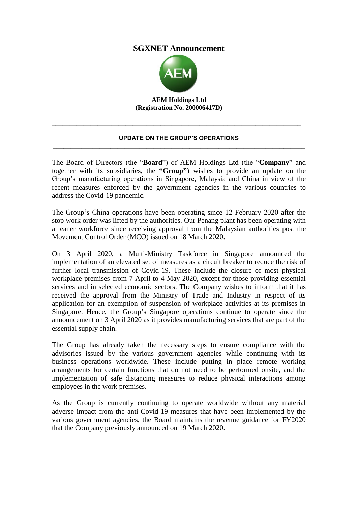## **SGXNET Announcement**



**AEM Holdings Ltd (Registration No. 200006417D)**

## **UPDATE ON THE GROUP'S OPERATIONS \_\_\_\_\_\_\_\_\_\_\_\_\_\_\_\_\_\_\_\_\_\_\_\_\_\_\_\_\_\_\_\_\_\_\_\_\_\_\_\_\_\_\_\_\_\_\_\_\_\_\_\_\_\_\_\_\_\_\_\_\_\_\_\_\_\_\_\_\_\_**

**\_\_\_\_\_\_\_\_\_\_\_\_\_\_\_\_\_\_\_\_\_\_\_\_\_\_\_\_\_\_\_\_\_\_\_\_\_\_\_\_\_\_\_\_\_\_\_\_\_\_\_\_\_\_\_\_\_\_\_\_\_\_\_\_\_\_\_\_\_\_\_**

The Board of Directors (the "**Board**") of AEM Holdings Ltd (the "**Company**" and together with its subsidiaries, the **"Group"**) wishes to provide an update on the Group's manufacturing operations in Singapore, Malaysia and China in view of the recent measures enforced by the government agencies in the various countries to address the Covid-19 pandemic.

The Group's China operations have been operating since 12 February 2020 after the stop work order was lifted by the authorities. Our Penang plant has been operating with a leaner workforce since receiving approval from the Malaysian authorities post the Movement Control Order (MCO) issued on 18 March 2020.

On 3 April 2020, a Multi-Ministry Taskforce in Singapore announced the implementation of an elevated set of measures as a circuit breaker to reduce the risk of further local transmission of Covid-19. These include the closure of most physical workplace premises from 7 April to 4 May 2020, except for those providing essential services and in selected economic sectors. The Company wishes to inform that it has received the approval from the Ministry of Trade and Industry in respect of its application for an exemption of suspension of workplace activities at its premises in Singapore. Hence, the Group's Singapore operations continue to operate since the announcement on 3 April 2020 as it provides manufacturing services that are part of the essential supply chain.

The Group has already taken the necessary steps to ensure compliance with the advisories issued by the various government agencies while continuing with its business operations worldwide. These include putting in place remote working arrangements for certain functions that do not need to be performed onsite, and the implementation of safe distancing measures to reduce physical interactions among employees in the work premises.

As the Group is currently continuing to operate worldwide without any material adverse impact from the anti-Covid-19 measures that have been implemented by the various government agencies, the Board maintains the revenue guidance for FY2020 that the Company previously announced on 19 March 2020.